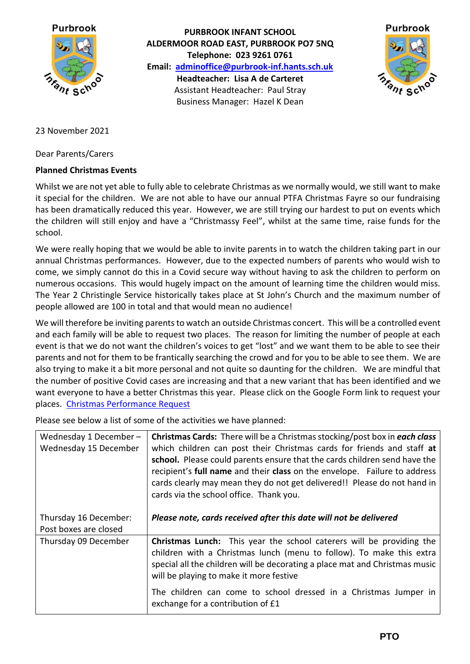

**PURBROOK INFANT SCHOOL ALDERMOOR ROAD EAST, PURBROOK PO7 5NQ Telephone: 023 9261 0761 Email: [adminoffice@purbrook-inf.hants.sch.uk](mailto:adminoffice@purbrook-inf.hants.sch.uk) Headteacher: Lisa A de Carteret** Assistant Headteacher: Paul Stray Business Manager: Hazel K Dean



23 November 2021

Dear Parents/Carers

## **Planned Christmas Events**

Whilst we are not yet able to fully able to celebrate Christmas as we normally would, we still want to make it special for the children. We are not able to have our annual PTFA Christmas Fayre so our fundraising has been dramatically reduced this year. However, we are still trying our hardest to put on events which the children will still enjoy and have a "Christmassy Feel", whilst at the same time, raise funds for the school.

We were really hoping that we would be able to invite parents in to watch the children taking part in our annual Christmas performances. However, due to the expected numbers of parents who would wish to come, we simply cannot do this in a Covid secure way without having to ask the children to perform on numerous occasions. This would hugely impact on the amount of learning time the children would miss. The Year 2 Christingle Service historically takes place at St John's Church and the maximum number of people allowed are 100 in total and that would mean no audience!

We will therefore be inviting parents to watch an outside Christmas concert. This will be a controlled event and each family will be able to request two places. The reason for limiting the number of people at each event is that we do not want the children's voices to get "lost" and we want them to be able to see their parents and not for them to be frantically searching the crowd and for you to be able to see them. We are also trying to make it a bit more personal and not quite so daunting for the children. We are mindful that the number of positive Covid cases are increasing and that a new variant that has been identified and we want everyone to have a better Christmas this year. Please click on the Google Form link to request your places. [Christmas Performance Request](https://forms.gle/Pssd6QFjMzJADprq5)

Please see below a list of some of the activities we have planned:

| Wednesday 1 December -<br>Wednesday 15 December | <b>Christmas Cards:</b> There will be a Christmas stocking/post box in each class<br>which children can post their Christmas cards for friends and staff at<br>school. Please could parents ensure that the cards children send have the<br>recipient's full name and their class on the envelope. Failure to address<br>cards clearly may mean they do not get delivered!! Please do not hand in<br>cards via the school office. Thank you. |
|-------------------------------------------------|----------------------------------------------------------------------------------------------------------------------------------------------------------------------------------------------------------------------------------------------------------------------------------------------------------------------------------------------------------------------------------------------------------------------------------------------|
| Thursday 16 December:<br>Post boxes are closed  | Please note, cards received after this date will not be delivered                                                                                                                                                                                                                                                                                                                                                                            |
| Thursday 09 December                            | <b>Christmas Lunch:</b> This year the school caterers will be providing the<br>children with a Christmas lunch (menu to follow). To make this extra<br>special all the children will be decorating a place mat and Christmas music<br>will be playing to make it more festive                                                                                                                                                                |
|                                                 | The children can come to school dressed in a Christmas Jumper in<br>exchange for a contribution of £1                                                                                                                                                                                                                                                                                                                                        |